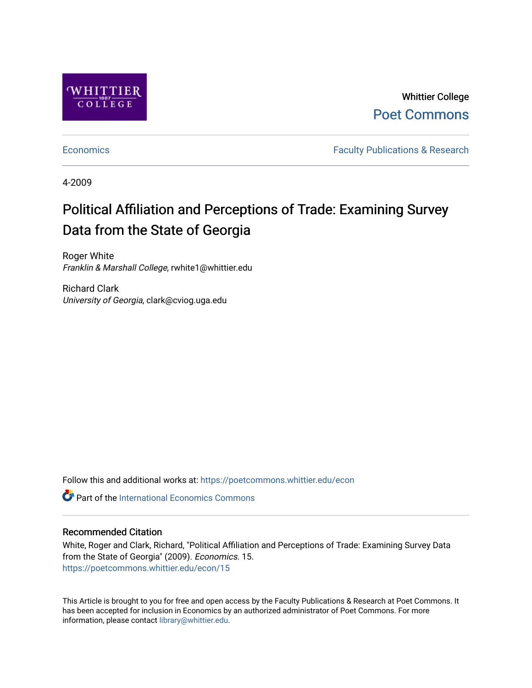

Whittier College [Poet Commons](https://poetcommons.whittier.edu/) 

[Economics](https://poetcommons.whittier.edu/econ) **Faculty Publications & Research** 

4-2009

# Political Affiliation and Perceptions of Trade: Examining Survey Data from the State of Georgia

Roger White Franklin & Marshall College, rwhite1@whittier.edu

Richard Clark University of Georgia, clark@cviog.uga.edu

Follow this and additional works at: [https://poetcommons.whittier.edu/econ](https://poetcommons.whittier.edu/econ?utm_source=poetcommons.whittier.edu%2Fecon%2F15&utm_medium=PDF&utm_campaign=PDFCoverPages)

**C** Part of the International Economics Commons

# Recommended Citation

White, Roger and Clark, Richard, "Political Affiliation and Perceptions of Trade: Examining Survey Data from the State of Georgia" (2009). Economics. 15. [https://poetcommons.whittier.edu/econ/15](https://poetcommons.whittier.edu/econ/15?utm_source=poetcommons.whittier.edu%2Fecon%2F15&utm_medium=PDF&utm_campaign=PDFCoverPages) 

This Article is brought to you for free and open access by the Faculty Publications & Research at Poet Commons. It has been accepted for inclusion in Economics by an authorized administrator of Poet Commons. For more information, please contact [library@whittier.edu.](mailto:library@whittier.edu)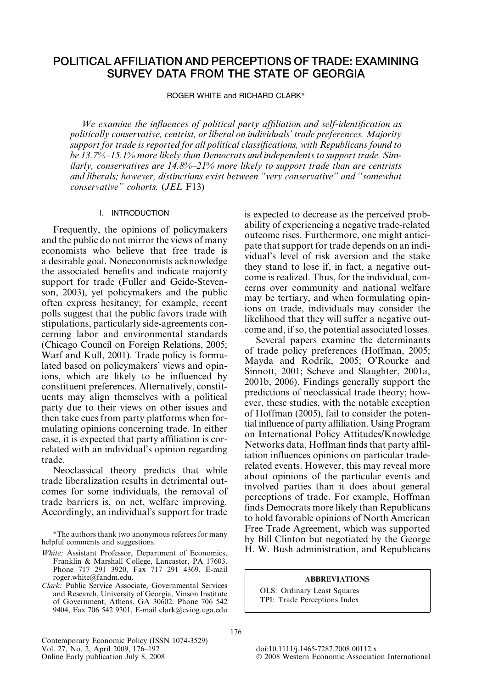# POLITICAL AFFILIATION AND PERCEPTIONS OF TRADE: EXAMINING SURVEY DATA FROM THE STATE OF GEORGIA

ROGER WHITE and RICHARD CLARK\*

We examine the influences of political party affiliation and self-identification as politically conservative, centrist, or liberal on individuals' trade preferences. Majority support for trade is reported for all political classifications, with Republicans found to be 13.7%–15.1% more likely than Democrats and independents to support trade. Similarly, conservatives are  $14.8\% - 21\%$  more likely to support trade than are centrists and liberals; however, distinctions exist between ''very conservative'' and ''somewhat conservative'' cohorts. (JEL F13)

### I. INTRODUCTION

Frequently, the opinions of policymakers and the public do not mirror the views of many economists who believe that free trade is a desirable goal. Noneconomists acknowledge the associated benefits and indicate majority support for trade (Fuller and Geide-Stevenson, 2003), yet policymakers and the public often express hesitancy; for example, recent polls suggest that the public favors trade with stipulations, particularly side-agreements concerning labor and environmental standards (Chicago Council on Foreign Relations, 2005; Warf and Kull, 2001). Trade policy is formulated based on policymakers' views and opinions, which are likely to be influenced by constituent preferences. Alternatively, constituents may align themselves with a political party due to their views on other issues and then take cues from party platforms when formulating opinions concerning trade. In either case, it is expected that party affiliation is correlated with an individual's opinion regarding trade.

Neoclassical theory predicts that while trade liberalization results in detrimental outcomes for some individuals, the removal of trade barriers is, on net, welfare improving. Accordingly, an individual's support for trade

\*The authors thank two anonymous referees for many helpful comments and suggestions.

- White: Assistant Professor, Department of Economics, Franklin & Marshall College, Lancaster, PA 17603. Phone 717 291 3920, Fax 717 291 4369, E-mail roger.white@fandm.edu.
- Clark: Public Service Associate, Governmental Services and Research, University of Georgia, Vinson Institute of Government, Athens, GA 30602. Phone 706 542 9404, Fax 706 542 9301, E-mail clark@cviog.uga.edu

Contemporary Economic Policy (ISSN 1074-3529)<br>Vol. 27, No. 2, April 2009, 176–192 Vol. 27, No. 2, April 2009, 176–192 doi:10.1111/j.1465-7287.2008.00112.x<br>
Online Early publication July 8, 2008 commic Association 3.5 commic Association 3.6 commic Association 3.6 commic Association 3.6 commic Association

is expected to decrease as the perceived probability of experiencing a negative trade-related outcome rises. Furthermore, one might anticipate that support for trade depends on an individual's level of risk aversion and the stake they stand to lose if, in fact, a negative outcome is realized. Thus, for the individual, concerns over community and national welfare may be tertiary, and when formulating opinions on trade, individuals may consider the likelihood that they will suffer a negative outcome and, if so, the potential associated losses.

Several papers examine the determinants of trade policy preferences (Hoffman, 2005; Mayda and Rodrik, 2005; O'Rourke and Sinnott, 2001; Scheve and Slaughter, 2001a, 2001b, 2006). Findings generally support the predictions of neoclassical trade theory; however, these studies, with the notable exception of Hoffman (2005), fail to consider the potential influence of party affiliation. Using Program on International Policy Attitudes/Knowledge Networks data, Hoffman finds that party affiliation influences opinions on particular traderelated events. However, this may reveal more about opinions of the particular events and involved parties than it does about general perceptions of trade. For example, Hoffman finds Democrats more likely than Republicans to hold favorable opinions of North American Free Trade Agreement, which was supported by Bill Clinton but negotiated by the George H. W. Bush administration, and Republicans

#### ABBREVIATIONS

OLS: Ordinary Least Squares TPI: Trade Perceptions Index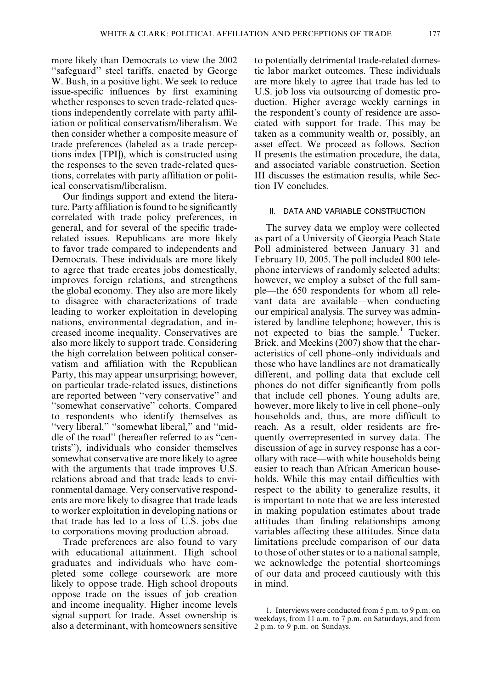more likely than Democrats to view the 2002 ''safeguard'' steel tariffs, enacted by George W. Bush, in a positive light. We seek to reduce issue-specific influences by first examining whether responses to seven trade-related questions independently correlate with party affiliation or political conservatism/liberalism. We then consider whether a composite measure of trade preferences (labeled as a trade perceptions index [TPI]), which is constructed using the responses to the seven trade-related questions, correlates with party affiliation or political conservatism/liberalism.

Our findings support and extend the literature. Party affiliation is found to be significantly correlated with trade policy preferences, in general, and for several of the specific traderelated issues. Republicans are more likely to favor trade compared to independents and Democrats. These individuals are more likely to agree that trade creates jobs domestically, improves foreign relations, and strengthens the global economy. They also are more likely to disagree with characterizations of trade leading to worker exploitation in developing nations, environmental degradation, and increased income inequality. Conservatives are also more likely to support trade. Considering the high correlation between political conservatism and affiliation with the Republican Party, this may appear unsurprising; however, on particular trade-related issues, distinctions are reported between ''very conservative'' and ''somewhat conservative'' cohorts. Compared to respondents who identify themselves as "very liberal," "somewhat liberal," and "middle of the road'' (hereafter referred to as ''centrists''), individuals who consider themselves somewhat conservative are more likely to agree with the arguments that trade improves U.S. relations abroad and that trade leads to environmental damage. Very conservative respondents are more likely to disagree that trade leads to worker exploitation in developing nations or that trade has led to a loss of U.S. jobs due to corporations moving production abroad.

Trade preferences are also found to vary with educational attainment. High school graduates and individuals who have completed some college coursework are more likely to oppose trade. High school dropouts oppose trade on the issues of job creation and income inequality. Higher income levels signal support for trade. Asset ownership is also a determinant, with homeowners sensitive to potentially detrimental trade-related domestic labor market outcomes. These individuals are more likely to agree that trade has led to U.S. job loss via outsourcing of domestic production. Higher average weekly earnings in the respondent's county of residence are associated with support for trade. This may be taken as a community wealth or, possibly, an asset effect. We proceed as follows. Section II presents the estimation procedure, the data, and associated variable construction. Section III discusses the estimation results, while Section IV concludes.

### II. DATA AND VARIABLE CONSTRUCTION

The survey data we employ were collected as part of a University of Georgia Peach State Poll administered between January 31 and February 10, 2005. The poll included 800 telephone interviews of randomly selected adults; however, we employ a subset of the full sample—the 650 respondents for whom all relevant data are available—when conducting our empirical analysis. The survey was administered by landline telephone; however, this is not expected to bias the sample.<sup>1</sup> Tucker, Brick, and Meekins (2007) show that the characteristics of cell phone–only individuals and those who have landlines are not dramatically different, and polling data that exclude cell phones do not differ significantly from polls that include cell phones. Young adults are, however, more likely to live in cell phone–only households and, thus, are more difficult to reach. As a result, older residents are frequently overrepresented in survey data. The discussion of age in survey response has a corollary with race—with white households being easier to reach than African American households. While this may entail difficulties with respect to the ability to generalize results, it is important to note that we are less interested in making population estimates about trade attitudes than finding relationships among variables affecting these attitudes. Since data limitations preclude comparison of our data to those of other states or to a national sample, we acknowledge the potential shortcomings of our data and proceed cautiously with this in mind.

<sup>1.</sup> Interviews were conducted from 5 p.m. to 9 p.m. on weekdays, from 11 a.m. to 7 p.m. on Saturdays, and from 2 p.m. to 9 p.m. on Sundays.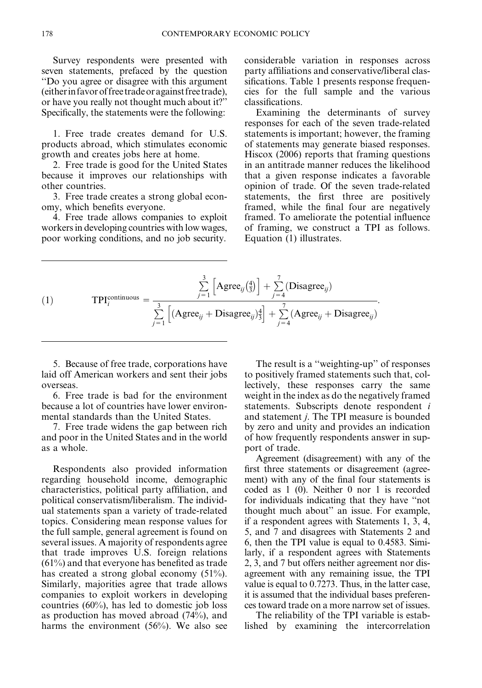Survey respondents were presented with seven statements, prefaced by the question ''Do you agree or disagree with this argument (eitherin favorof free tradeor against free trade), or have you really not thought much about it?'' Specifically, the statements were the following:

1. Free trade creates demand for U.S. products abroad, which stimulates economic growth and creates jobs here at home.

2. Free trade is good for the United States because it improves our relationships with other countries.

3. Free trade creates a strong global economy, which benefits everyone.

4. Free trade allows companies to exploit workers in developing countries with low wages, poor working conditions, and no job security.

considerable variation in responses across party affiliations and conservative/liberal classifications. Table 1 presents response frequencies for the full sample and the various classifications.

Examining the determinants of survey responses for each of the seven trade-related statements is important; however, the framing of statements may generate biased responses. Hiscox (2006) reports that framing questions in an antitrade manner reduces the likelihood that a given response indicates a favorable opinion of trade. Of the seven trade-related statements, the first three are positively framed, while the final four are negatively framed. To ameliorate the potential influence of framing, we construct a TPI as follows. Equation (1) illustrates.

(1) 
$$
\text{TPI}_{i}^{\text{continuous}} = \frac{\sum_{j=1}^{3} \left[ \text{Agree}_{ij} \left( \frac{4}{3} \right) \right] + \sum_{j=4}^{7} (\text{Disagree}_{ij})}{\sum_{j=1}^{3} \left[ (\text{Agree}_{ij} + \text{Disagree}_{ij}) \frac{4}{3} \right] + \sum_{j=4}^{7} (\text{Agree}_{ij} + \text{Disagree}_{ij})}.
$$

5. Because of free trade, corporations have laid off American workers and sent their jobs overseas.

6. Free trade is bad for the environment because a lot of countries have lower environmental standards than the United States.

7. Free trade widens the gap between rich and poor in the United States and in the world as a whole.

Respondents also provided information regarding household income, demographic characteristics, political party affiliation, and political conservatism/liberalism. The individual statements span a variety of trade-related topics. Considering mean response values for the full sample, general agreement is found on several issues. A majority of respondents agree that trade improves U.S. foreign relations (61%) and that everyone has benefited as trade has created a strong global economy (51%). Similarly, majorities agree that trade allows companies to exploit workers in developing countries (60%), has led to domestic job loss as production has moved abroad (74%), and harms the environment (56%). We also see

The result is a ''weighting-up'' of responses to positively framed statements such that, collectively, these responses carry the same weight in the index as do the negatively framed statements. Subscripts denote respondent i and statement j. The TPI measure is bounded by zero and unity and provides an indication of how frequently respondents answer in support of trade.

Agreement (disagreement) with any of the first three statements or disagreement (agreement) with any of the final four statements is coded as 1 (0). Neither 0 nor 1 is recorded for individuals indicating that they have ''not thought much about'' an issue. For example, if a respondent agrees with Statements 1, 3, 4, 5, and 7 and disagrees with Statements 2 and 6, then the TPI value is equal to 0.4583. Similarly, if a respondent agrees with Statements 2, 3, and 7 but offers neither agreement nor disagreement with any remaining issue, the TPI value is equal to 0.7273. Thus, in the latter case, it is assumed that the individual bases preferences toward trade on a more narrow set of issues.

The reliability of the TPI variable is established by examining the intercorrelation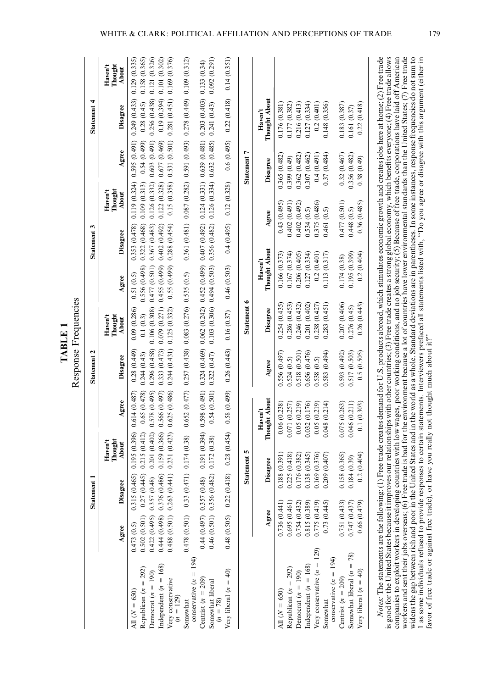|                                                |                                                          | Statement        |                                        |                              |                                  |                                                           |                                              | 3<br><b>Statement</b>        |                                |                                                                                           | <b>Statement</b>           |                                |
|------------------------------------------------|----------------------------------------------------------|------------------|----------------------------------------|------------------------------|----------------------------------|-----------------------------------------------------------|----------------------------------------------|------------------------------|--------------------------------|-------------------------------------------------------------------------------------------|----------------------------|--------------------------------|
|                                                | Agree                                                    | Disagree         | Thought<br>Haven't<br>About            | Agree                        | Disagree                         | Thought<br>Haven't<br>About                               | Agree                                        | <b>Disagree</b>              | Thought<br>$H$ aven't<br>About | Agree                                                                                     | Disagree                   | $H$ aven't<br>Thought<br>About |
| All $(N = 650)$                                | 0.473(0.5)                                               | 0.315(0.465)     | 0.195 (0.396)                          | 0.614(0.487)                 | 0.28(0.449)                      | 0.09(0.286)                                               | 0.51(0.5)                                    | 0.353 (0.478)                | 0.119(0.324)                   |                                                                                           | 0.595(0.491) 0.249(0.433)  | 0.129 (0.335)                  |
| Republican $(n = 292)$<br>Democrat $(n = 190)$ | $0.502(0.501)$ $0.27(0.445)$<br>0.422(0.495) 0.357(0.48) |                  | 0.215(0.412)<br>0.201(0.402)           | 0.65(0.478)<br>0.578 (0.495) | 0.296(0.458)<br>0.244(0.43)      | 0.106(0.308)<br>0.1(0.3)                                  | 0.477(0.501)<br>0.556 (0.498)                | 0.322(0.468)<br>0.367(0.483) | 0.109(0.313)                   | $0.126$ $(0.332)$ $0.603$ $(0.491)$ $0.256$ $(0.438)$<br>0.54(0.499)                      | 0.28(0.45)                 | 0.158 (0.365)<br>0.121 (0.326) |
| Independent $(n = 168)$                        | 0.444 (0.498) 0.376 (0.486)                              |                  | 0.159(0.366)                           | 0.566(0.497)                 | 0.333 (0.473)                    | 0.079(0.271)                                              | $0.455(0.499)$ 0.402 (0.492)                 |                              |                                | 0.122(0.328)0.677(0.469)                                                                  | 0.19(0.394)                | 0.101(0.302)                   |
| Very conservative<br>$(n = 129)$               | $0.488$ $(0.501)$ $0.263$ $(0.441)$                      |                  | 0.231(0.423)                           | 0.625(0.486)                 | 0.244(0.431)                     | 0.125 (0.332)                                             | $0.55(0.499)$ 0.288 $(0.454)$                |                              | 0.15 (0.358)                   |                                                                                           | 0.531(0.501) 0.281(0.451)  | 0.169 (0.376)                  |
| conservative $(n = 194)$<br>Somewhat           | $0.478$ $(0.501)$ $0.33$ $(0.471)$                       |                  | 0.174(0.38)                            |                              |                                  | $0.652(0.477)$ $0.257(0.438)$ $0.083(0.276)$ $0.535(0.5)$ |                                              |                              |                                | $0.361$ $(0.481)$ $0.087$ $(0.282)$ $0.591$ $(0.493)$ $0.278$ $(0.449)$ $0.109$ $(0.312)$ |                            |                                |
| Centrist $(n = 209)$                           | 0.44 (0.497) 0.357 (0.48)                                |                  | 0.191(0.394)                           | 0.598(0.491)                 | 0.324(0.469)                     |                                                           | $0.062(0.242)$ $0.452(0.499)$ $0.407(0.492)$ |                              |                                | $0.124$ (0.331) $0.639$ (0.481) $0.203$ (0.403) $0.133$ (0.34)                            |                            |                                |
| Somewhat liberal<br>$(n = 78)$                 | 0.46 (0.501) 0.356 (0.482)                               |                  | 0.172(0.38)                            | 0.54(0.501)                  | 0.322(0.47)                      |                                                           | $(0.103(0.306) 0.494(0.503) 0.356(0.482))$   |                              |                                | $0.126(0.334)$ $0.632(0.485)$ $0.241(0.43)$                                               |                            | $(162.0)$ 290.0                |
| Very liberal $(n = 40)$                        | $0.48$ $(0.505)$ $0.22$ $(0.41)$                         | $\frac{8}{2}$    |                                        | $0.28(0.454)$ 0.58 $(0.499)$ | $0.26$ $(0.443)$ $0.16$ $(0.37)$ |                                                           | 0.46(0.503)                                  | 0.4(0.495)                   | 0.12(0.328)                    |                                                                                           | $0.6(0.495)$ $0.22(0.418)$ | 0.14(0.351)                    |
|                                                |                                                          |                  | Statement 5                            |                              |                                  | Statement 6                                               |                                              |                              |                                | Statement 7                                                                               |                            |                                |
|                                                | Agree                                                    |                  | Disagree                               | Thought About<br>$H$ aven't  | Agree                            | Disagree                                                  | Thought About<br>Haven't                     | Agree                        |                                | Disagree                                                                                  | Thought About<br>Haven't   |                                |
| All $(N = 650)$                                | 0.736(0.441)                                             | $\overline{0}$ . | (188)(0.391)                           | 0.06(0.238)                  | 0.556(0.497)                     | 0.254(0.435)                                              | 0.166 (0.373)                                | 0.43(0.495)                  |                                | 0.365 (0.482)                                                                             | 0.176(0.381)               |                                |
| Republican $(n = 292)$                         | 0.695(0.461)                                             |                  | 0.225(0.418)                           | 0.071 (0.257)                | 0.524(0.5)                       | 0.286 (0.453)                                             | 0.167(0.374)                                 | 0.402(0.491)                 |                                | 0.399 (0.49)                                                                              | 0.177 (0.382)              |                                |
| Democrat $(n = 190)$                           | 0.754(0.432)                                             | $\overline{0}$ . | 76 (0.382)                             | 0.05(0.219)                  | 0.518(0.501)                     | 0.246 (0.432)                                             | 0.206(0.405)                                 | 0.402(0.492)                 |                                | 0.362 (0.482)                                                                             | 0.216(0.413)               |                                |
| Independent $(n = 168)$                        | 0.815 (0.389)                                            |                  | 0.138(0.345)                           | 0.032 (0.176)                | 0.656 (0.476)                    | 0.201 (0.402)                                             | 0.127 (0.334)                                | 0.534(0.5)                   |                                | 0.307 (0.462)                                                                             | 0.127(0.334)               |                                |
| Very conservative $(n = 129)$                  | 0.775 (0.419)                                            |                  |                                        | 0.05(0.219)                  | 0.538(0.5)                       | 0.238(0.427)                                              | 0.2(0.401)                                   | 0.375 (0.486)                |                                | 0.4(0.491)                                                                                | 0.2(0.401)                 |                                |
| conservative $(n = 194)$<br>Somewhat           | 0.73(0.445)                                              |                  | $0.169$ $(0.376)$<br>$0.209$ $(0.407)$ | (0.214)<br>0.048             | 0.583(0.494)                     | 0.283(0.451)                                              | 0.113(0.317)                                 | 0.461                        | (0.5)                          | 0.37(0.484)                                                                               | 0.148 (0.356)              |                                |
| Centrist $(n = 209)$                           | 0.751 (0.433)                                            | $\overline{0}$   | 58 (0.365)                             | 0.075 (0.263)                | 0.593(0.492)                     | 0.207 (0.406)                                             | 0.174 (0.38)                                 | 0.477(0.501)                 |                                | 0.32(0.467)                                                                               | 0.183(0.387)               |                                |
| Somewhat liberal $(n = 78)$                    | 0.747(0.437)                                             | $\overline{0}$   | 84 (0.39)                              | 0.046 (0.211)                | 0.517(0.503)                     | 0.276(0.45)                                               | 0.195 (0.399)                                | 0.448(0.5)                   |                                | 0.356 (0.482)                                                                             | 0.161(0.37)                |                                |
| Very liberal $(n = 40)$                        | 0.66(0.479)                                              |                  | 0.2(0.404)                             | (0.303)<br>$\overline{0}$    | 0.5(0.505)                       | 0.26(0.443)                                               | (0.404)<br>0.2                               | 0.36(0.485)                  |                                | 0.38(0.49)                                                                                | (0.418)<br>0.22            |                                |

Response Frequencies Response Frequencies TABLE 1 TABLE 1

is good for the United States because it improves our relationships with other countries; (3) Free trade creates a strong global economy, which benefits everyone; (4) Free trade allows companies to exploit workers in devel is good for the United States because it improves our relationships with other countries; (3) Free trade creates a strong global economy, which benefits everyone; (4) Free trade allows companies to exploit workers in developing countries with low wages, poor working conditions, and no job security; (5) Because of free trade, corporations have laid off American workers and sent their jobs overseas; (6) Free trade is bad for the environment because a lot of countries have lower environmental standards than the United States; (7) Free trade widens the gap between rich and poor in the United States and in the world as a whole. Standard deviations are in parentheses. In some instances, response frequencies do not sum to 1 as some individuals refused to provide responses to certain statements. Interviewers prefaced all statements listed with, ''Do you agree or disagree with this argument (either in favor of free trade or against free trade), or have you really not thought much about it?''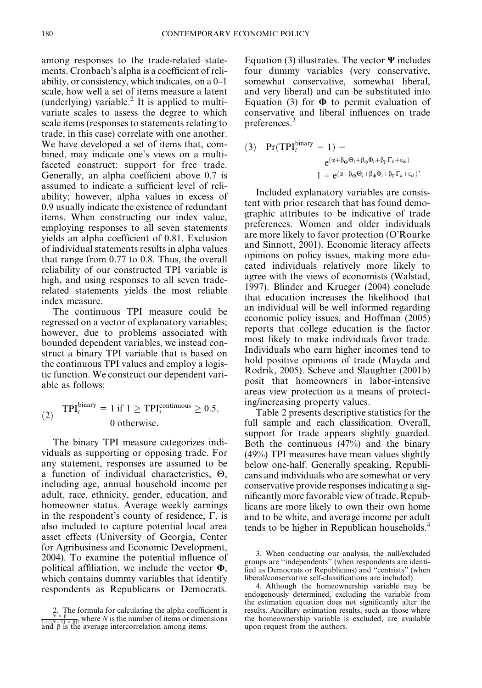among responses to the trade-related statements. Cronbach's alpha is a coefficient of reliability, or consistency, which indicates, on a 0–1 scale, how well a set of items measure a latent (underlying) variable.<sup>2</sup> It is applied to multivariate scales to assess the degree to which scale items (responses to statements relating to trade, in this case) correlate with one another. We have developed a set of items that, combined, may indicate one's views on a multifaceted construct: support for free trade. Generally, an alpha coefficient above 0.7 is assumed to indicate a sufficient level of reliability; however, alpha values in excess of 0.9 usually indicate the existence of redundant items. When constructing our index value, employing responses to all seven statements yields an alpha coefficient of 0.81. Exclusion of individual statements results in alpha values that range from 0.77 to 0.8. Thus, the overall reliability of our constructed TPI variable is high, and using responses to all seven traderelated statements yields the most reliable index measure.

The continuous TPI measure could be regressed on a vector of explanatory variables; however, due to problems associated with bounded dependent variables, we instead construct a binary TPI variable that is based on the continuous TPI values and employ a logistic function. We construct our dependent variable as follows:

(2) 
$$
\text{TPI}_{i}^{\text{binary}} = 1 \text{ if } 1 \ge \text{TPI}_{i}^{\text{continuous}} \ge 0.5, \quad 0 \text{ otherwise.}
$$

The binary TPI measure categorizes individuals as supporting or opposing trade. For any statement, responses are assumed to be a function of individual characteristics,  $\Theta$ , including age, annual household income per adult, race, ethnicity, gender, education, and homeowner status. Average weekly earnings in the respondent's county of residence,  $\Gamma$ , is also included to capture potential local area asset effects (University of Georgia, Center for Agribusiness and Economic Development, 2004). To examine the potential influence of political affiliation, we include the vector  $\Phi$ , which contains dummy variables that identify respondents as Republicans or Democrats.

Equation (3) illustrates. The vector  $\Psi$  includes four dummy variables (very conservative, somewhat conservative, somewhat liberal, and very liberal) and can be substituted into Equation (3) for  $\Phi$  to permit evaluation of conservative and liberal influences on trade preferences.<sup>3</sup>

(3) 
$$
Pr(TPI_i^{\text{binary}} = 1) =
$$

$$
\frac{e^{(\alpha + \beta_{\Theta}\Theta_i + \beta_{\Phi}\Phi_i + \beta_{\Gamma}\Gamma_k + \epsilon_{ik})}}{1 + e^{(\alpha + \beta_{\Theta}\Theta_i + \beta_{\Phi}\Phi_i + \beta_{\Gamma}\Gamma_k + \epsilon_{ik})}}
$$

Included explanatory variables are consistent with prior research that has found demographic attributes to be indicative of trade preferences. Women and older individuals are more likely to favor protection (O'Rourke and Sinnott, 2001). Economic literacy affects opinions on policy issues, making more educated individuals relatively more likely to agree with the views of economists (Walstad, 1997). Blinder and Krueger (2004) conclude that education increases the likelihood that an individual will be well informed regarding economic policy issues, and Hoffman (2005) reports that college education is the factor most likely to make individuals favor trade. Individuals who earn higher incomes tend to hold positive opinions of trade (Mayda and Rodrik, 2005). Scheve and Slaughter (2001b) posit that homeowners in labor-intensive areas view protection as a means of protecting/increasing property values.

Table 2 presents descriptive statistics for the full sample and each classification. Overall, support for trade appears slightly guarded. Both the continuous (47%) and the binary (49%) TPI measures have mean values slightly below one-half. Generally speaking, Republicans and individuals who are somewhat or very conservative provide responses indicating a significantly more favorable view of trade. Republicans are more likely to own their own home and to be white, and average income per adult tends to be higher in Republican households.<sup>4</sup>

<sup>2.</sup> The formula for calculating the alpha coefficient is  $\frac{N \times \bar{p}}{1 + ((N-1) \times \bar{p})}$ , where N is the number of items or dimensions and  $\bar{\rho}$  is the average intercorrelation among items.

<sup>3.</sup> When conducting our analysis, the null/excluded groups are ''independents'' (when respondents are identified as Democrats or Republicans) and ''centrists'' (when liberal/conservative self-classifications are included).

<sup>4.</sup> Although the homeownership variable may be endogenously determined, excluding the variable from the estimation equation does not significantly alter the results. Ancillary estimation results, such as those where the homeownership variable is excluded, are available upon request from the authors.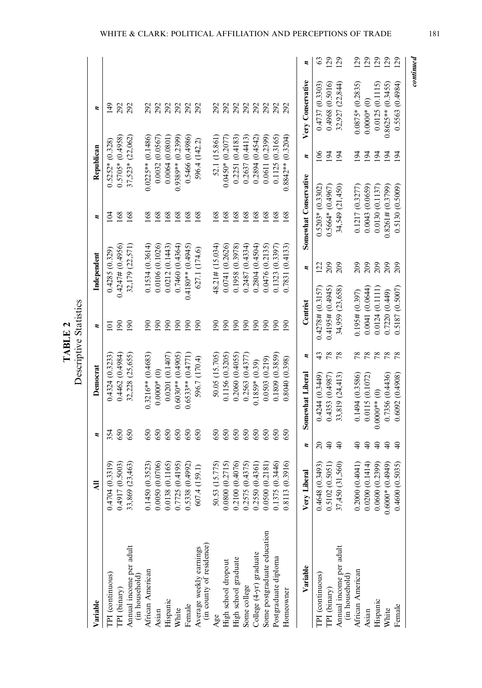| ٢<br>F | ≂ |
|--------|---|
|--------|---|

| Variable                                            | $\overline{a}$           | ×,        | Democrat              |               | ×,                  | Independent         | ×,                    | Republican          | ×,                  |     |
|-----------------------------------------------------|--------------------------|-----------|-----------------------|---------------|---------------------|---------------------|-----------------------|---------------------|---------------------|-----|
| TPI (continuous)                                    | (0.3319)<br>0.4704       | 354       | 0.4324 (0.3233)       |               | Ξ                   | 0.4285(0.329)       | $\leq$                | $0.5252*(0.328)$    | 149                 |     |
| TPI (binary)                                        | (0.5003)<br>0.4917       | 650       | 0.4462 (0.4984)       |               | $\overline{50}$     | 0.4247# (0.4956)    | 168                   | $0.5705*(0.4958)$   | 292                 |     |
| Annual income per adult<br>(in household)           | (23, 463)<br>33,869      | 650       | 32,228 (25,655)       |               | 190                 | 32,179 (22,571)     | 168                   | 37,523* (22,062)    | 292                 |     |
| African American                                    | (0.3523)<br>0.1450       | 650       | $0.3216**$ (0.4683)   |               | $\frac{8}{2}$       | 0.1534(0.3614)      | 168                   | $0.0225**$ (0.1486) | 292                 |     |
| Asian                                               | (0.0706)<br>0.0050       | 650       | $0.0000*$ (0)         |               | 90                  | 0.0106(0.1026)      | 168                   | 0.0032(0.0567)      | 292                 |     |
| Hispanic                                            | (0.1165)<br>0.0138       | 650       | 0.0201(0.1407)        |               | $\overline{190}$    | 0.0212(0.1443)      | 168                   | 0.0064(0.0801)      | 292                 |     |
| White                                               | (0.4195)<br>0.7725       | 650       | $0.6030**$ (0.4905)   |               | 90                  | 0.7460(0.4364)      | 168                   | $0.9389**$ (0.2399) | 292                 |     |
| Female                                              | (2664)<br>0.5338         | 650       | $0.6533**$ $(0.4771)$ |               | $\overline{6}$      | $0.4180**$ (0.4945) | 168                   | 0.5466 (0.4986)     | 292                 |     |
| (in county of residence)<br>Average weekly earnings | (159.1)<br>607.4         | 650       | 596.7 (170.4)         |               | $\overline{190}$    | 627.1 (174.6)       | 168                   | 596.4 (142.2)       | 292                 |     |
| Age                                                 | 15.775<br>50.53          | 650       | 50.05 (15.705)        |               | $\overline{0}$      | $48.21 \# (15.034)$ | 168                   | 52.1 (15.861)       | 292                 |     |
| High school dropout                                 | 0.2715<br>0.0800         | 650       | 0.1156 (0.3205)       |               | 90                  | 0.0741 (0.2626)     | 168                   | $0.0450*(0.2077)$   | 292                 |     |
| High school graduate                                | (0.4076)<br>0.2100       | 650       | 0.2060 (0.4055)       |               | 190                 | 0.1958 (0.3978)     | 168                   | 0.2251(0.4183)      | 292                 |     |
| Some college                                        | (0.4375)<br>0.2575       | 650       | 0.2563 (0.4377        |               | <b>90</b>           | 0.2487 (0.4334)     | 168                   | 0.2637(0.4413)      |                     |     |
| College (4-yr) graduate                             | (0.4361)<br>0.2550       | 650       | $0.1859*$ (0.39)      |               | $\overline{6}$      | 0.2804(0.4504)      | 168                   | 0.2894(0.4542)      | 292<br>292<br>292   |     |
| Some postgraduate education                         | (0.2181)<br>0.0500       | 650       | 0.0503(0.219)         |               | 90                  | 0.0476 (0.2135)     | 168                   | 0.0611 (0.2399)     |                     |     |
| Postgraduate diploma                                | (0.3446)<br>0.1375       | 650       | 0.1809(0.3859)        |               | $\overline{90}$     | 0.1323(0.3397)      | 168                   | 0.1125(0.3165)      | 292<br>292          |     |
| Homeowner                                           | (0.3916)<br>0.8113       | 650       | 0.8040(0.398)         |               | $\overline{5}$      | 0.7831 (0.4133)     | 168                   | $0.8842**$ (0.3204) |                     |     |
| Variable                                            | beral<br>Very Li         | ×         | Somewhat Liberal      | z             | Centrist            | ×,                  | Somewhat Conservative | z                   | Very Conservative   | ×,  |
| TPI (continuous)                                    | 0.4648 (0.3493)          | $\approx$ | 0.4244 (0.3449)       | 43            | 0.4278# (0.3157)    | $\overline{2}$      | $0.5203*(0.3302)$     | 106                 | 0.4737 (0.3303)     | 63  |
| TPI (binary)                                        | (0.5051)<br>0.5102       | $\Theta$  | 0.4353(0.4987)        | $\frac{8}{2}$ | $0.4195\# (0.4945)$ | 209                 | $0.5664*(0.4967)$     | 194                 | 0.4968 (0.5016)     | 29  |
| Annual income per adult<br>(in household)           | (31,560)<br>37,450 (     | $\Theta$  | 33,819 (24,413)       | 78            | 34,959 (23,658)     | 209                 | 34,549 (21,450)       | $\overline{5}$      | 32,927 (22,844)     | 129 |
| African American                                    | 0.2000(0.4041)           | ¥         | 0.1494 (0.3586)       | 78            | 0.195# (0.397)      | 209                 | 0.1217 (0.3277)       | $\overline{5}$      | $0.0875*(0.2835)$   | 129 |
| Asian                                               | (0.1414)<br>0.0200(      | $\Theta$  | 0.0115(0.1072)        | $\frac{8}{2}$ | 0.0041(0.0644)      | 209                 | 0.0043(0.0659)        | 194                 | $0.0000*$ (0)       | 129 |
| Hispanic                                            | (0.2399)<br>0.0600       | $\Theta$  | $0.0000**$ (0)        |               | 0.0124(0.1111)      | 209                 | 0.0130(0.1137)        | 194                 | 0.0125(0.1115)      | 129 |
| White                                               | $(6+6+0.0)$<br>$0.6000*$ | $\Theta$  | 0.7356 (0.4436)       | 78            | 0.7220(0.449)       | 209                 | 0.8261# (0.3799)      | 194                 | $0.8625**$ (0.3455) | 129 |
| Female                                              | (0.5035)<br>0.4600       | $\Theta$  | 0.6092(0.4908)        | 78            | 0.5187(0.5007)      | 209                 | 0.5130(0.5009)        | 194                 | 0.5563(0.4984)      | 129 |
|                                                     |                          |           |                       |               |                     |                     |                       |                     |                     |     |

WHITE & CLARK: POLITICAL AFFILIATION AND PERCEPTIONS OF TRADE 181

continued

 $continued$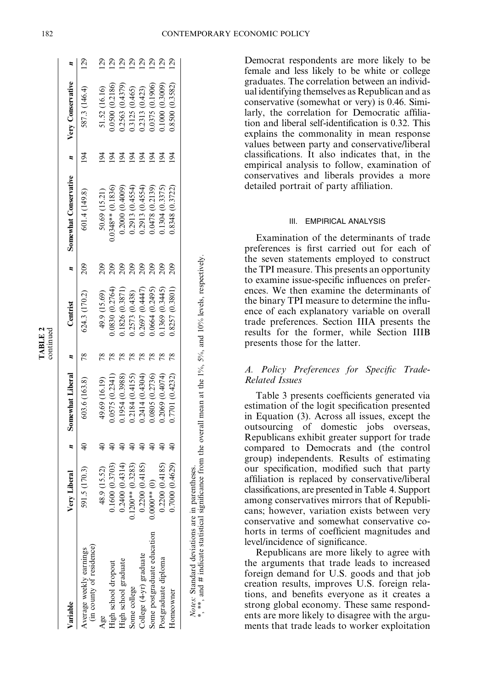| م<br>س<br>₫<br>r.<br>ı.<br>÷<br>Ξ<br>┍<br>ś |  |
|---------------------------------------------|--|

| Variable                                                                                                                                                         | Very Liberal          | Somewhat Liberal | Centrist        |     | Somewhat Conservative |                | $n$ Very Conservative |                 |
|------------------------------------------------------------------------------------------------------------------------------------------------------------------|-----------------------|------------------|-----------------|-----|-----------------------|----------------|-----------------------|-----------------|
| (in county of residence)<br>Average weekly earnings                                                                                                              | (170.3)<br>591.5      | 603.6 (163.8)    | 624.3 (170.2)   | 209 | 601.4 (149.8)         | $\frac{4}{3}$  | 587.3 (146.4)         | <b>29</b>       |
| Age                                                                                                                                                              | (15.52)<br>48.9       | 49.69 (16.19)    | 49.9 (15.69)    | 209 | 50.69 (15.21)         |                | 51.52 (16.16)         | $\frac{29}{2}$  |
| High school dropout                                                                                                                                              | 0.1600(0.3703)        | 0.575 (0.2341)   | 0.0830(0.2764)  |     | $0.0348**$ (0.1836)   |                | 0.0500 (0.2186)       | $\overline{5}$  |
| High school graduate                                                                                                                                             | (0.4314)<br>0.2400    | 1954 (0.3988)    | 1826 (0.3871)   | 209 | 0.2000(0.4009)        |                | 0.2563 (0.4379)       | $\overline{5}$  |
| Some college                                                                                                                                                     | (0.3283)<br>$.1200**$ | 0.2184 (0.4155)  | 0.2573 (0.438)  | 209 | 0.2913(0.4554)        |                | 0.3125 (0.465)        | $\overline{5}$  |
| College (4-yr) graduate                                                                                                                                          | (0.4185)<br>0.2200    | 0.2414 (0.4304)  | 0.2697(0.4447)  | 209 | 0.2913(0.4554)        |                | 0.2313 (0.423)        | $\overline{29}$ |
| Some postgraduate education                                                                                                                                      | $0000**$              | 0.0805 (0.2736)  | 0.0664(0.2495)  | 209 | 0.0478(0.2139)        | $\overline{5}$ | 0.0375 (0.1906)       | $\overline{29}$ |
| Postgraduate diploma                                                                                                                                             | (0.4185)<br>0.2200    | 0.2069 (0.4074)  | 0.1369 (0.3445) |     | 0.1304(0.3375)        |                | 0.1000(0.3009)        | $\overline{29}$ |
| Homeowner                                                                                                                                                        | (0.4629)<br>0007.0    | 0.7701 (0.4232)  | 0.8257 (0.3801) |     | 0.8348 (0.3722)       | $\overline{5}$ | 0.8500 (0.3582)       | 129             |
|                                                                                                                                                                  |                       |                  |                 |     |                       |                |                       |                 |
| **, and # indicate statistical significance from the overall mean at the 1%, 5%, and 10% levels, respectively.<br>Notes: Standard deviations are in parentheses. |                       |                  |                 |     |                       |                |                       |                 |

Democrat respondents are more likely to be female and less likely to be white or college graduates. The correlation between an individual identifying themselves as Republican and as conservative (somewhat or very) is 0.46. Similarly, the correlation for Democratic affiliation and liberal self-identification is 0.32. This explains the commonality in mean response values between party and conservative/liberal classifications. It also indicates that, in the empirical analysis to follow, examination of conservatives and liberals provides a more detailed portrait of party affiliation.

# III. EMPIRICAL ANALYSIS

Examination of the determinants of trade preferences is first carried out for each of the seven statements employed to construct the TPI measure. This presents an opportunity to examine issue-specific influences on preferences. We then examine the determinants of the binary TPI measure to determine the influence of each explanatory variable on overall trade preferences. Section IIIA presents the results for the former, while Section IIIB presents those for the latter.

# A. Policy Preferences for Specific Trade-Related Issues

Table 3 presents coefficients generated via estimation of the logit specification presented in Equation (3). Across all issues, except the outsourcing of domestic jobs overseas, Republicans exhibit greater support for trade compared to Democrats and (the control group) independents. Results of estimating our specification, modified such that party affiliation is replaced by conservative/liberal classifications, are presented in Table 4. Support among conservatives mirrors that of Republicans; however, variation exists between very conservative and somewhat conservative cohorts in terms of coefficient magnitudes and level/incidence of significance.

Republicans are more likely to agree with the arguments that trade leads to increased foreign demand for U.S. goods and that job creation results, improves U.S. foreign relations, and benefits everyone as it creates a strong global economy. These same respondents are more likely to disagree with the arguments that trade leads to worker exploitation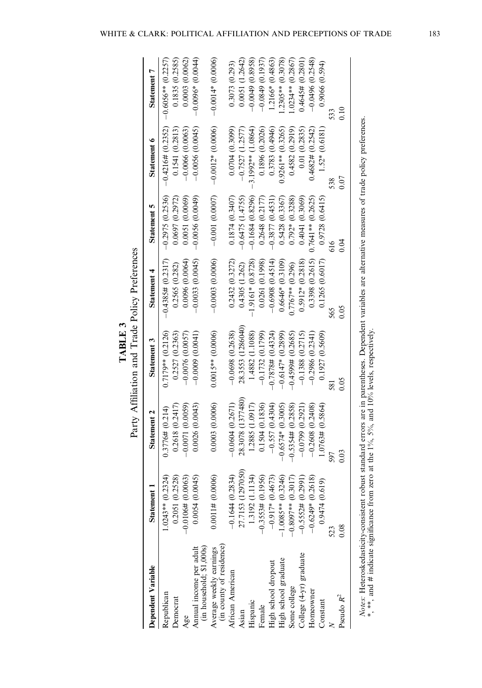|   | ۰      |
|---|--------|
|   | ₹<br>۴ |
| F |        |
|   |        |

|                                                     |                      |                      | Party Affiliation and Trade Policy Preferences |                      |                       |                     |                      |
|-----------------------------------------------------|----------------------|----------------------|------------------------------------------------|----------------------|-----------------------|---------------------|----------------------|
| Dependent Variable                                  | Statement 1          | Statement 2          | Statement 3                                    | Statement 4          | Statement 5           | Statement 6         | Statement 7          |
| Republican                                          | $1.0243**$ (0.2324)  | 0.3776# (0.214)      | $0.7179**$ (0.2126)                            | $-0.4385# (0.2317)$  | $-0.2975(0.2536)$     | $-0.4216# (0.2352)$ | $-0.6056**$ (0.2257) |
| Democrat                                            | 0.2051 (0.2528)      | 0.2618(0.2417)       | 0.2527 (0.2363)                                | 0.2565 (0.282)       | 0.0697 (0.2972)       | 0.1541(0.2813)      | 0.1835(0.2585)       |
| Age                                                 | $-0.0106\# (0.0063)$ | $-0.0071(0.0059)$    | $-0.0076(0.0057)$                              | 0.0096(0.0064)       | 0.0051(0.0069)        | $-0.0066(0.0063)$   | 0.0003(0.0062)       |
| Annual income per adult<br>(in household; \$1,000s) | 0.0054(0.0045)       | 0.0026(0.0043)       | $-0.0009$ (0.0041)                             | $-0.0033(0.0045)$    | $-0.0056(0.0049)$     | $-0.0056(0.0045)$   | $-0.0096*(0.0044)$   |
| (in county of residence)<br>Average weekly earnings | 0.0011# (0.0006)     | 0.0003(0.0006)       | $0.0015**$ (0.0006)                            | $-0.0003$ $(0.0006)$ | $-0.001(0.0007)$      | $-0.0012*$ (0.0006) | $-0.0014*(0.0006)$   |
| African American                                    | $-0.1644(0.2834)$    | $-0.0604(0.2671)$    | $-0.0698(0.2638)$                              | 0.2432(0.3272)       | 0.1874(0.3407)        | 0.0704(0.3099)      | 0.3073(0.293)        |
| Asian                                               | 27.7153 (1297050)    | 28.3078 (1377480)    | 28.3553 (1286040)                              | 0.4305(1.262)        | 0.6475(1.4755)        | $-0.7527(1.2577)$   | 0.0051(1.2642)       |
| Hispanic                                            | 1.3192 (1.1134)      | 1.2885 (1.0917)      | 1.4882 (1.1088)                                | $-1.9161*(0.8728)$   | $-0.1684(0.8296)$     | $3.1992**$ (1.0864) | $-0.0049(0.8958)$    |
| Female                                              | $-0.3553\# (0.1956)$ | 0.1504 (0.1836)      | $-0.1732(0.1799)$                              | 0.0261 (0.1998)      | 0.2648(0.2177)        | 0.1896 (0.2026)     | $-0.0849(0.1937)$    |
| High school dropout                                 | $-0.917*(0.4673)$    | $-0.557(0.4304)$     | $-0.7878$ # (0.4324)                           | $-0.6908(0.4514)$    | $-0.3877(0.4531)$     | 0.3783 (0.4946)     | 1.2166* (0.4863)     |
| High school graduate                                | $1.0085**$ (0.3246)  | $-0.6574*(0.3005)$   | $-0.6147*(0.2899)$                             | $0.6646*(0.3109)$    | 0.5428(0.3367)        | $0.9261**$ (0.3265) | $.2305**$ (0.3078)   |
| Some college                                        | $-0.8097**$ (0.3017) | $-0.5354\# (0.2858)$ | $-0.4599# (0.2685)$                            | $0.7767**$ (0.296)   | $0.792*(0.3288)$      | 0.4582 (0.2919)     | $.0234**$ (0.2867)   |
| College (4-yr) graduate                             | $-0.5552\# (0.2991)$ | $-0.0799(0.2921)$    | $-0.1388(0.2715)$                              | $0.5912*(0.2818)$    | 0.4041 (0.3069)       | 0.01(0.2835)        | $0.4645\# (0.2801)$  |
| Homeowner                                           | $-0.6249*(0.2618)$   | $-0.2608(0.2408)$    | $-0.2986(0.2341)$                              | 0.3398(0.2615)       | $0.7641**$ $(0.2625)$ | 0.4682# (0.2542)    | $-0.0496(0.2548)$    |
| Constant                                            | 0.9474(0.619)        | 1.0763# (0.5864)     | 0.1927(0.5609)                                 | 0.1265(0.6017)       | 0.9728(0.6415)        | $1.52*(0.6181)$     | 0.9066(0.594)        |
|                                                     | 523                  |                      | 581                                            | 565                  |                       | 538                 | 533                  |
| Pseudo $R^2$                                        | 0.08                 | 0.03                 | 0.05                                           | 0.05                 | 0.04                  | 0.07                | $\frac{0}{0}$        |

*Notes*: Heteroskedasticity-consistent robust standard errors are in parentheses. Dependent variables are alternative measures of trade policy preferences.<br>\*, \*\*, and # indicate significance from zero at the 1%, 5%, and 1 Notes: Heteroskedasticity-consistent robust standard errors are in parentheses. Dependent variables are alternative measures of trade policy preferences. \*, \*\*, and # indicate significance from zero at the 1%, 5%, and 10% levels, respectively.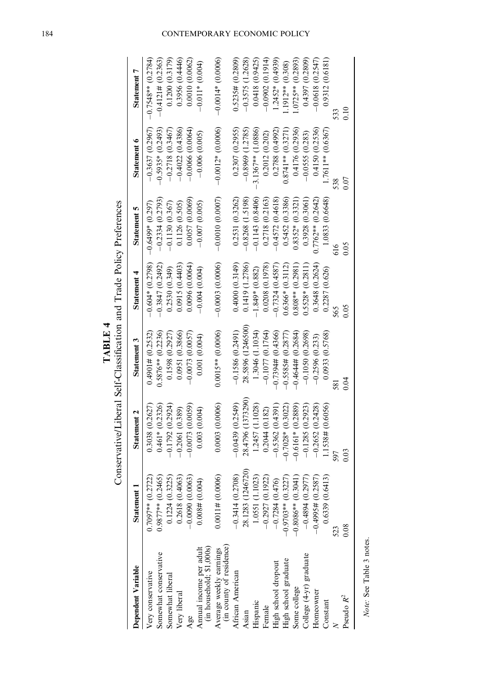|               | ;<br>$\frac{1}{\theta}$                          |
|---------------|--------------------------------------------------|
|               |                                                  |
| $\frac{1}{2}$ | fication and Trade<br>$\overline{\text{C}}$<br>í |
|               | s<br>i<br>i<br>.<br>אבני די<br>ׇ֦֧               |

| Dependent Variable                                  | Statement 1                                                                                       | Statement 2         | Statement 3          | Statement 4        | Statement 5         | Statement 6          | Statement 7          |
|-----------------------------------------------------|---------------------------------------------------------------------------------------------------|---------------------|----------------------|--------------------|---------------------|----------------------|----------------------|
| Very conservative                                   | $0.7097**$ (0.2722)                                                                               | 0.3038(0.2627)      | $0.4901\# (0.2532)$  | $-0.604*(0.2798)$  | $-0.6499*(0.297)$   | $-0.3637(0.2967)$    | $-0.7548**$ (0.2784) |
| Somewhat conservative                               |                                                                                                   | $0.461*(0.2326)$    | $0.5876**$ (0.2236)  | $-0.3847(0.2492)$  | $-0.2334(0.2793)$   | $-0.5935*(0.2493)$   | $-0.4121\# (0.2363)$ |
| Somewhat liberal                                    | $0.9877**$ (0.2465)<br>0.1224 (0.3225)                                                            | $-0.1792(0.2924)$   | 0.1598 (0.2927)      | 0.2530(0.349)      | $-0.1130(0.367)$    | $-0.2718(0.3467)$    | 0.1200(0.3179)       |
| Very liberal                                        | 0.2618(0.4063)                                                                                    | $-0.2061(0.389)$    | 0.0951 (0.3866)      | 0.0915(0.4403)     | 0.1126(0.505)       | $-0.4022(0.4386)$    | 0.3956(0.4446)       |
| Age                                                 | $-0.0090(0.0063)$                                                                                 | $-0.0073(0.0059)$   | $-0.0073(0.0057)$    | 0.0096(0.0064)     | 0.0057 (0.0069)     | $-0.0066(0.0064)$    | 0.0010(0.0062)       |
| Amual income per adult<br>(in household; \$1,000s)  | 0.004(0.004)                                                                                      | 0.003(0.004)        | 0.001(0.004)         | $-0.004$ (0.004)   | $-0.007(0.005)$     | $-0.006(0.005)$      | $-0.01*$ (0.004)     |
| Average weekly earnings<br>(in county of residence) | 0.0011# (0.0006)                                                                                  | 0.0003(0.0006)      | $0.0015**$ (0.0006)  | $-0.0003(0.0006)$  | $-0.0010(0.0007)$   | $-0.0012*(0.0006)$   | $-0.0014*(0.0006)$   |
| African American                                    |                                                                                                   | $-0.0439(0.2549)$   | $-0.1586(0.2491)$    | 0.4000(0.3149)     | 0.2531 (0.3262)     | 0.2307(0.2955)       | $0.5235\# (0.2809)$  |
| Asian                                               | $-0.3414(0.2708)$<br>28.1283 (1246720)                                                            | 28.4796 (1373290)   | 28.5896 (1246500)    | 0.1419 (1.2786)    | $-0.8268(1.5198)$   | $-0.8969(1.2785)$    | $-0.3575(1.2628)$    |
| Hispanic                                            | 1.0551 (1.1023)                                                                                   | 1.2457 (1.1028)     | 1.3046 (1.1034)      | $-1.849*(0.882)$   | $-0.1143(0.8406)$   | $-3.1367**$ (1.0886) | 0.0418(0.9425)       |
| Female                                              |                                                                                                   | 0.2044(0.182)       | $-0.1077(0.1764)$    | 0.0208(0.1978)     | 0.2718 (0.2163)     | 0.2012(0.202)        | $-0.0902(0.1914)$    |
|                                                     | $\begin{array}{r} -0.2927 \ (0.1922) \\ -0.7284 \ (0.476) \\ -0.9703^{**} \ (0.3227) \end{array}$ | $-0.5362(0.4391)$   | $-0.7394\# (0.4366)$ | $-0.7324(0.4587)$  | $-0.4572(0.4618)$   | 0.2788 (0.4992)      | $1.2452*(0.4939)$    |
| High school dropout<br>High school graduate         |                                                                                                   | $-0.7028*(0.3022)$  | $-0.5585\# (0.2877)$ | $0.6366*(0.3112)$  | 0.5452 (0.3386)     | $0.8741**$ (0.3271)  | $1.1912**$ (0.308)   |
| Some college                                        | $-0.8086**$ (0.3041)                                                                              | $-0.6161*$ (0.2889) | $-0.4644\# (0.2684)$ | $0.808**$ (0.2981) | $0.8352*(0.3321)$   | 0.4176 (0.2936)      | $1.0725**$ (0.2893)  |
| College (4-yr) graduate                             | $-0.4894(0.2977)$                                                                                 | $-0.1285(0.2923)$   | $-0.1050(0.2698)$    | $0.5528*(0.2811)$  | 0.3928(0.3061)      | $-0.0555(0.283)$     | 0.4397 (0.2809)      |
| Homeowner                                           | $-0.4995\# (0.2587)$                                                                              | $-0.2652(0.2428)$   | $-0.2596(0.233)$     | 0.3648 (0.2624)    | $0.7762**$ (0.2642) | 0.4150 (0.2536)      | $-0.0618(0.2547)$    |
| Constant                                            | 13)<br>0.6339(0.64)                                                                               | 1.1538# (0.6056)    | 0.0933 (0.5768)      | 0.2287 (0.626)     | 1.0833 (0.6648)     | $1.7611**$ (0.6367)  | 0.9312 (0.6181)      |
|                                                     | 523                                                                                               |                     |                      | 65                 | 616                 |                      | 533                  |
| Pseudo $R^2$                                        | 0.08                                                                                              | 0.03                | 0.04                 | 0.05               | 0.05                | 0.07                 | 0.10                 |
|                                                     |                                                                                                   |                     |                      |                    |                     |                      |                      |

# 184 CONTEMPORARY ECONOMIC POLICY

Note: See Table 3 notes. Note: See Table 3 notes.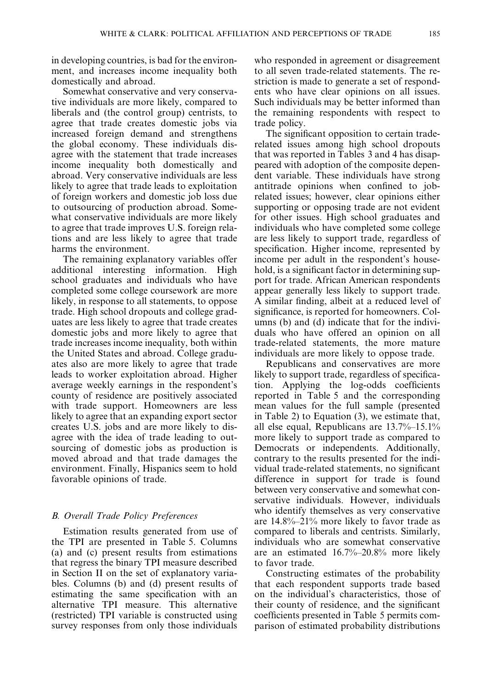in developing countries, is bad for the environment, and increases income inequality both domestically and abroad.

Somewhat conservative and very conservative individuals are more likely, compared to liberals and (the control group) centrists, to agree that trade creates domestic jobs via increased foreign demand and strengthens the global economy. These individuals disagree with the statement that trade increases income inequality both domestically and abroad. Very conservative individuals are less likely to agree that trade leads to exploitation of foreign workers and domestic job loss due to outsourcing of production abroad. Somewhat conservative individuals are more likely to agree that trade improves U.S. foreign relations and are less likely to agree that trade harms the environment.

The remaining explanatory variables offer additional interesting information. High school graduates and individuals who have completed some college coursework are more likely, in response to all statements, to oppose trade. High school dropouts and college graduates are less likely to agree that trade creates domestic jobs and more likely to agree that trade increases income inequality, both within the United States and abroad. College graduates also are more likely to agree that trade leads to worker exploitation abroad. Higher average weekly earnings in the respondent's county of residence are positively associated with trade support. Homeowners are less likely to agree that an expanding export sector creates U.S. jobs and are more likely to disagree with the idea of trade leading to outsourcing of domestic jobs as production is moved abroad and that trade damages the environment. Finally, Hispanics seem to hold favorable opinions of trade.

# B. Overall Trade Policy Preferences

Estimation results generated from use of the TPI are presented in Table 5. Columns (a) and (c) present results from estimations that regress the binary TPI measure described in Section II on the set of explanatory variables. Columns (b) and (d) present results of estimating the same specification with an alternative TPI measure. This alternative (restricted) TPI variable is constructed using survey responses from only those individuals who responded in agreement or disagreement to all seven trade-related statements. The restriction is made to generate a set of respondents who have clear opinions on all issues. Such individuals may be better informed than the remaining respondents with respect to trade policy.

The significant opposition to certain traderelated issues among high school dropouts that was reported in Tables 3 and 4 has disappeared with adoption of the composite dependent variable. These individuals have strong antitrade opinions when confined to jobrelated issues; however, clear opinions either supporting or opposing trade are not evident for other issues. High school graduates and individuals who have completed some college are less likely to support trade, regardless of specification. Higher income, represented by income per adult in the respondent's household, is a significant factor in determining support for trade. African American respondents appear generally less likely to support trade. A similar finding, albeit at a reduced level of significance, is reported for homeowners. Columns (b) and (d) indicate that for the individuals who have offered an opinion on all trade-related statements, the more mature individuals are more likely to oppose trade.

Republicans and conservatives are more likely to support trade, regardless of specification. Applying the log-odds coefficients reported in Table 5 and the corresponding mean values for the full sample (presented in Table 2) to Equation (3), we estimate that, all else equal, Republicans are 13.7%–15.1% more likely to support trade as compared to Democrats or independents. Additionally, contrary to the results presented for the individual trade-related statements, no significant difference in support for trade is found between very conservative and somewhat conservative individuals. However, individuals who identify themselves as very conservative are 14.8%–21% more likely to favor trade as compared to liberals and centrists. Similarly, individuals who are somewhat conservative are an estimated 16.7%–20.8% more likely to favor trade.

Constructing estimates of the probability that each respondent supports trade based on the individual's characteristics, those of their county of residence, and the significant coefficients presented in Table 5 permits comparison of estimated probability distributions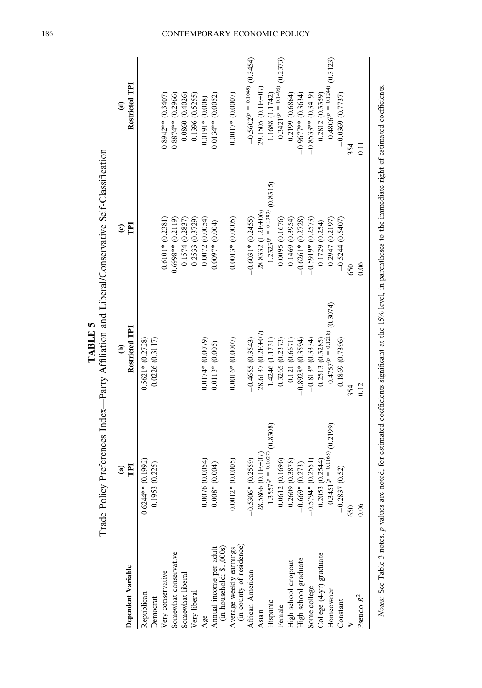|                                                     | $\widehat{\mathbf{a}}$           |                                 | $\widehat{\boldsymbol{c}}$      | €                                 |
|-----------------------------------------------------|----------------------------------|---------------------------------|---------------------------------|-----------------------------------|
| Dependent Variable                                  | F                                | Restricted TPI                  | F                               | Restricted TPI                    |
| Republican                                          | (0.1992)<br>$0.6244**$           | $0.5621*(0.2728)$               |                                 |                                   |
| Democrat                                            | (0.225)<br>0.1953                | $-0.0226(0.3117)$               |                                 |                                   |
| Very conservative                                   |                                  |                                 | $0.6101*$ $(0.2381)$            | $0.8942**$ (0.3407)               |
| Somewhat conservative                               |                                  |                                 | $0.6998**$ (0.2119)             | $0.8874**$ (0.2966)               |
| Somewhat liberal                                    |                                  |                                 | 0.1574(0.2837)                  | 0.0860 (0.4026)                   |
| Very liberal                                        |                                  |                                 | 0.2533 (0.3729)                 | 0.1396 (0.5255)                   |
| Age                                                 | $-0.0076(0.0054)$                | $-0.0174*(0.0079)$              | $-0.0072(0.0054)$               | $-0.0191*(0.008)$                 |
| (in household; \$1,000s)<br>Annual income per adult | (0.004)<br>$0.008*$              | $0.0113*(0.005)$                | $0.0097*$ (0.004)               | $0.0134**$ (0.0052)               |
| Average weekly earnings<br>(in county of residence) | $0.0012*(0.0005)$                | $0.0016*(0.0007)$               | $0.0013*(0.0005)$               | $0.0017*(0.0007)$                 |
| African American                                    | $-0.5306*$ (0.2559)              | $-0.4655(0.3543)$               | $-0.6031*$ (0.2455)             | $-0.5602^{(p)} = 0.1049$ (0.3454) |
| Asian                                               | 28.5866 (0.1E+07)                | 28.6137 (0.2E+07)               | 28.8332 (1.2E+06)               | 29.1505 (0.1E+07)                 |
| Hispanic                                            | $1.3557^{(p)} = 0.1027$ (0.8308) | 1.4246 (1.1731)                 | $1.2323^{(p)} = 0.1383(0.8315)$ | 1.1688 (1.1742)                   |
| Female                                              | (0.1696)<br>$-0.0612$            | $-0.3265(0.2373)$               | $-0.0095(0.1676)$               | $-0.3421^{(p)} = 0.1495$ (0.2373) |
| High school dropout                                 | $-0.2609(0.3878)$                | 0.121(0.6671)                   | $-0.1469(0.3954)$               | 0.2199(0.6864)                    |
| High school graduate                                | $-0.669*$ (0.273)                | $-0.8928*(0.3594)$              | $-0.6261*$ (0.2728)             | $-0.9677**$ (0.3634)              |
| Some college                                        | $-0.5794*(0.2551)$               | $-0.813*(0.3334)$               | $0.5919* (0.2573)$              | $-0.8533**$ (0.3419)              |
| College (4-yr) graduate                             | $-0.2053(0.2544)$                | $-0.2513(0.3285)$               | $-0.1729(0.254)$                | $-0.2812(0.3359)$                 |
| Homeowner                                           | $-0.3451^{(p = 0.1165)}(0.2199)$ | $-0.4757^{(p=0.1218)}$ (0.3074) | $-0.2947(0.2197)$               | $-0.4806^{(p = 0.1244)}(0.3123)$  |
| Constant                                            | (0.52)<br>$-0.2837$              | 0.1869 (0.7396)                 | $-0.5244(0.5407)$               | $-0.0369(0.7737)$                 |
|                                                     | 650                              | 354                             | 650                             | 354                               |
| Pseudo $R^2$                                        | 0.06                             | 0.12                            | 0.06                            | $\Xi$                             |
|                                                     |                                  |                                 |                                 |                                   |

 $-P$ arty Affiliation and Liberal/Conservative Self-Classification Trade Policy Preferences Index—Party Affiliation and Liberal/Conservative Self-Classification Trade Policy Preferences Index-

TABLE 5

TABLE 5

Notes: See Table 3 notes. p values are noted, for estimated coefficients significant at the 15% level, in parentheses to the immediate right of estimated coefficients. Notes: See Table 3 notes. p values are noted, for estimated coefficients significant at the 15% level, in parentheses to the immediate right of estimated coefficients.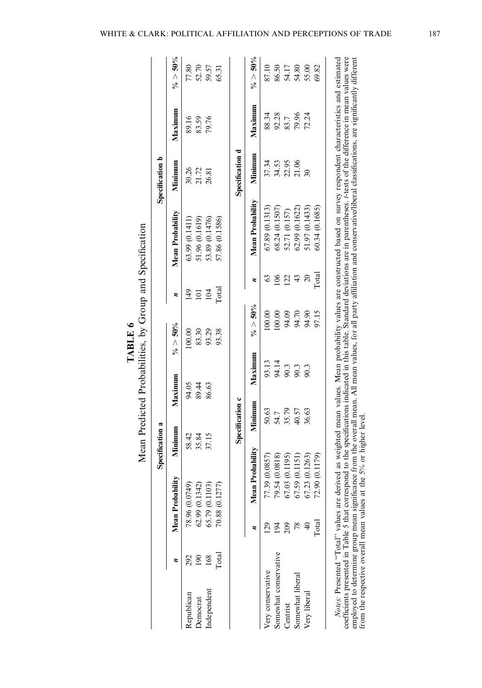|                       |               |                  | Specification a |                    |             |                |            |                  | Specification b |         |             |
|-----------------------|---------------|------------------|-----------------|--------------------|-------------|----------------|------------|------------------|-----------------|---------|-------------|
|                       |               | Mean Probability | Minimum         | Maximum            | $\% > 50\%$ | z              |            | Mean Probability | Mininum         | Maximum | $\% > 50\%$ |
| 292<br>Republican     |               | 78.96 (0.0749)   | 58.42           | 94.05              | 100.00      | 149            |            | 63.99(0.1411)    | 30.26           | 89.16   | 77.80       |
| $^{190}$<br>Democrat  |               | 62.99 (0.1342)   | 35.84           | 89.44              | 83.30       | $\overline{a}$ |            | 51.96 (0.1619)   | 21.72           | 83.59   | 52.70       |
| 168<br>Independent    |               | 65.79 (0.1103)   | 37.15           | 86.63              | 93.29       | 104            |            | 53.89 (0.1476)   | 26.81           | 79.76   | 59.57       |
| $\Gamma$ otal         |               | 70.88 (0.1277    |                 |                    | 93.38       | Total          |            | 57.86 (0.1586)   |                 |         | 65.31       |
|                       |               |                  |                 | Specification c    |             |                |            |                  | Specification d |         |             |
|                       |               | Mean             | Probability     | Maximum<br>Minimum |             | $\% > 50\%$    | ×          | Mean Probability | Minimum         | Maximum | $\% > 50\%$ |
| Very conservative     | 29            | 77.39 (0.0857)   |                 | 50.63              | 93.13       | 100.00         | S          | 67.89 (0.1313)   | 37.34           | 88.34   | 87.10       |
| Somewhat conservative |               | 79.54 (0.0818)   |                 | 54.7               | 94.14       | 100.00         | $\geq$     | 68.24 (0.1507)   | 34.53           | 92.28   | 86.50       |
| Centrist              | 209           | 67.03 (0.1195)   |                 | 90.3<br>35.79      |             | 94.09          | 122        | 52.71 (0.157)    | 22.95           | 83.7    | 54.17       |
| Somewhat liberal      |               | 67.59 (0.1151    |                 | 90.3<br>40.57      |             | 94.70          | $\ddot{4}$ | 62.99 (0.1622)   | 21.06           | 79.96   | 54.80       |
| Very liberal          |               | 67.23 (0.1263)   |                 | 90.3<br>36.63      |             | 94.90          | $\Omega$   | 51.97 (0.1433)   |                 | 72.24   | 55.00       |
|                       | $\Gamma$ otal | 72.90 (0.1179)   |                 |                    |             | 97.15          | Total      | 60.34(0.1685)    |                 |         | 69.82       |

TABLE 6 TABLE 6

cocurrentia prosention a ratio. 2 mat correspons to the gocultureal mean. All mean values, for all party affiliation and conservative/liberal classifications, are significantly different from the respective overall mean va coefficients presented in Table 5 that correspond to the specifications indicated in this table. Standard deviations are in parentheses. t-tests of the difference in mean values were employed to determine group mean significance from the overall mean. All mean values, for all party affiliation and conservative/liberal classifications, are significantly different from the respective overall mean values at the 5% or higher level.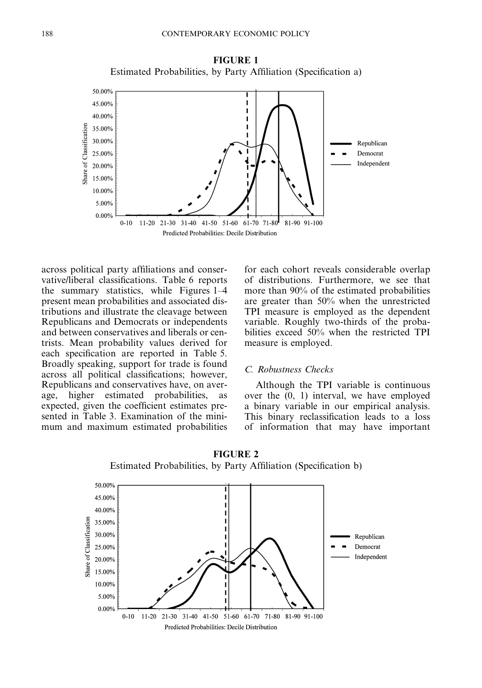FIGURE 1 Estimated Probabilities, by Party Affiliation (Specification a)



across political party affiliations and conservative/liberal classifications. Table 6 reports the summary statistics, while Figures 1–4 present mean probabilities and associated distributions and illustrate the cleavage between Republicans and Democrats or independents and between conservatives and liberals or centrists. Mean probability values derived for each specification are reported in Table 5. Broadly speaking, support for trade is found across all political classifications; however, Republicans and conservatives have, on average, higher estimated probabilities, as expected, given the coefficient estimates presented in Table 3. Examination of the minimum and maximum estimated probabilities

for each cohort reveals considerable overlap of distributions. Furthermore, we see that more than 90% of the estimated probabilities are greater than 50% when the unrestricted TPI measure is employed as the dependent variable. Roughly two-thirds of the probabilities exceed 50% when the restricted TPI measure is employed.

# C. Robustness Checks

Although the TPI variable is continuous over the (0, 1) interval, we have employed a binary variable in our empirical analysis. This binary reclassification leads to a loss of information that may have important



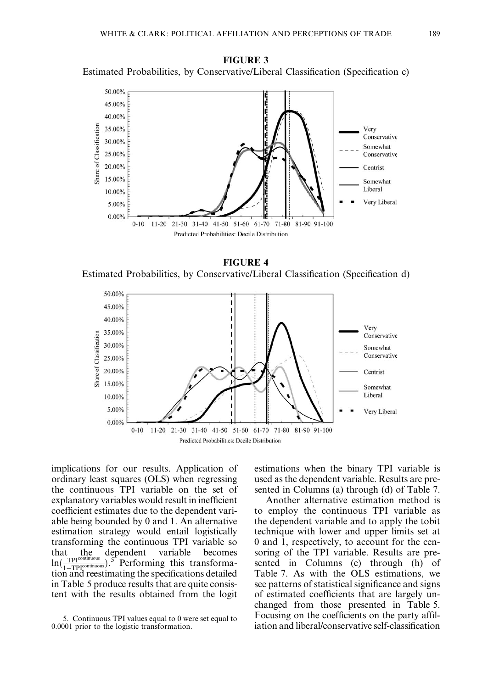FIGURE 3 Estimated Probabilities, by Conservative/Liberal Classification (Specification c)



FIGURE 4 Estimated Probabilities, by Conservative/Liberal Classification (Specification d)



implications for our results. Application of ordinary least squares (OLS) when regressing the continuous TPI variable on the set of explanatory variables would result in inefficient coefficient estimates due to the dependent variable being bounded by 0 and 1. An alternative estimation strategy would entail logistically transforming the continuous TPI variable so that the dependent variable becomes  $\ln(\frac{\text{TPI}^{\text{cor}}}{1-\text{TPI}^{\text{c}}})$  $\frac{1}{\text{minuous}}$ ).<sup>5</sup> Performing this transformation and reestimating the specifications detailed in Table 5 produce results that are quite consistent with the results obtained from the logit estimations when the binary TPI variable is used as the dependent variable. Results are presented in Columns (a) through (d) of Table 7.

Another alternative estimation method is to employ the continuous TPI variable as the dependent variable and to apply the tobit technique with lower and upper limits set at 0 and 1, respectively, to account for the censoring of the TPI variable. Results are presented in Columns (e) through (h) of Table 7. As with the OLS estimations, we see patterns of statistical significance and signs of estimated coefficients that are largely unchanged from those presented in Table 5. Focusing on the coefficients on the party affiliation and liberal/conservative self-classification

<sup>5.</sup> Continuous TPI values equal to 0 were set equal to 0.0001 prior to the logistic transformation.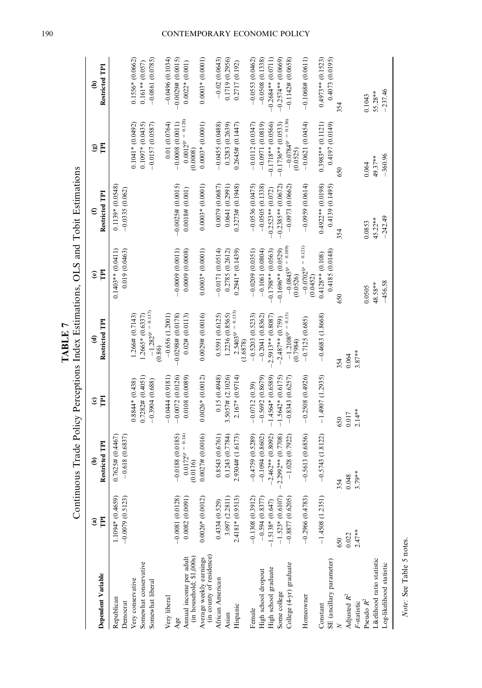| Dependent Variable                                    | TPI<br>$\widehat{\mathbf{a}}$          | Restricted TPI<br>ê                     | E<br>$\widehat{\mathbf{c}}$ | Restricted TPI<br>€                | E<br>$\mathbf{e}$                                         | Restricted TPI<br>$\epsilon$          | E<br>$\circledcirc$                 | Restricted TPI<br>$\widehat{\epsilon}$ |
|-------------------------------------------------------|----------------------------------------|-----------------------------------------|-----------------------------|------------------------------------|-----------------------------------------------------------|---------------------------------------|-------------------------------------|----------------------------------------|
| Republican<br>Democrat                                | $-0.0079(0.5123)$<br>$1.1094*(0.4659)$ | $0.7625\# (0.4467)$<br>$-0.618(0.6837)$ |                             |                                    | 0.019 (0.0463)<br>$0.1403**$ $(0.0411)$                   | $0.1139*(0.0548)$<br>$-0.0335(0.062)$ |                                     |                                        |
| /ery conservative                                     |                                        |                                         | $0.8844*(0.438)$            | 1.266# (0.7143)                    |                                                           |                                       | $0.1041*$ (0.0492)                  | $0.1556* (0.0662)$                     |
| Somewhat conservative                                 |                                        |                                         | $0.7282\# (0.4051)$         | $1.2665*$ (0.6337)                 |                                                           |                                       | $0.1097*$ $(0.0435)$                | $0.161**$ $(0.057)$                    |
| Somewhat liberal                                      |                                        |                                         | $-0.3904(0.688)$            | $-1.282^{(p)} = 0.137$<br>(0.86)   |                                                           |                                       | $-0.0157(0.0587)$                   | $-0.0861(0.0785)$                      |
| Very liberal                                          |                                        |                                         | $-0.0444(0.9181)$           | $-0.656(1.2001)$                   |                                                           |                                       | 0.01(0.0764)                        | $-0.0496(0.1034)$                      |
|                                                       | $-0.0081(0.0128)$                      | $-0.0188(0.0185)$                       | $-0.0072(0.0126)$           | $-0.0298# (0.0178)$                | $-0.0009(0.0011)$                                         | $-0.0025\# (0.0015)$                  | $-0.0008$ (0.0011)                  | $-0.0029$ # $(0.0015)$                 |
| Annual income per adult<br>(in household; \$1,000s)   | 0.0082(0.0091)                         | $0.0172^{(p=0.14)}$<br>(0.0116)         | 0.0108(0.0089)              | $0.02$ # $(0.0113)$                | 0.0009(0.0008)                                            | $0.0018$ # $(0.001)$                  | $0.0012^{(p=0.128)}$<br>(0.0008)    | $0.0022*(0.001)$                       |
| (in county of residence)<br>Average weekly earnings   | $0.0026*(0.0012)$                      | 0.0027# (0.0016)                        | $0.0026*(0.0012)$           | 0.0029# (0.0016)                   | $0.0003*$ (0.0001)                                        | $0.0003*(0.0001)$                     | $0.0003*(0.0001)$                   | $0.0003*$ $(0.0001)$                   |
| African American                                      | 0.4334(0.529)                          | 0.8543 (0.6761)                         | 0.15(0.4948)                | 0.5591 (0.6125)                    | $-0.0171(0.0514)$                                         | 0.0079(0.0687)                        | $-0.0455(0.0488)$                   | $-0.02(0.0643)$                        |
| Asian                                                 | 3.097 (2.2811)                         | 0.1243 (0.7784)                         | $3.5057\# (2.1026)$         | 1.2236 (0.8565)                    | 0.2785 (0.2612)                                           | 0.0641(0.2991)                        | 0.3283 (0.2639)                     | 0.1719 (0.2956)                        |
| Hispanic                                              | $2.4181*(0.9513)$                      | 2.9304# (1.6173)                        | $2.167*(0.9714)$            | $2.5403^{(p)} = 0.133$<br>(1.6878) | $0.2941*(0.1439)$                                         | 0.3273# (0.1948)                      | $0.2645\# (0.1447)$                 | 0.2717 (0.192)                         |
| Female                                                | $-0.1308(0.3912)$                      | $-0.4759(0.5289)$                       | $-0.0712(0.39)$             | $-0.5203(0.5233)$                  | $-0.0209(0.0351)$                                         | $-0.0536(0.0475)$                     | $-0.0112(0.0347)$                   | $-0.0553(0.0462)$                      |
| High school dropout                                   | $-0.594(0.8377)$                       | $-0.1094(0.8602)$                       | $-0.5692(0.8679)$           | $-0.2041(0.8362)$                  | $-0.1061(0.0804)$                                         | $-0.0505(0.1338)$                     | $-0.0971(0.0819)$                   | $-0.0508(0.1338)$                      |
| High school graduate                                  | $1.5138*(0.647)$                       | $-2.462**$ (0.8092)                     | $-1.4564*(0.6589)$          | $2.5913**$ (0.8087)                | $-0.1798**$ (0.0563)                                      | $-0.2523**$ $(0.072)$                 | $-0.1718**$ (0.0566)                | $-0.2684**$ (0.0711)                   |
| Some college                                          | $-1.523*(0.6107)$                      | 0.7708)<br>0.7708                       | $-1.5642*(0.6175)$          | $-2.487**$ (0.759)                 | $-0.1696**$ (0.0529)                                      | $-0.2385**$ (0.0672)                  | $-0.1736**$ (0.0533)                | $-0.2574**$ (0.0669)                   |
| College (4-yr) graduate                               | $-0.8877(0.6205)$                      | $-1.028$ $(0.7922)$                     | $-0.8343(0.6257)$           | $-1.2108^{(p)} = 0.13$<br>(0.7984) | $-0.0845$ <sup><math>(p = 0.109)</math></sup><br>(0.0526) | $-0.0973(0.0662)$                     | $-0.0784^{(p)} = 0.136$<br>(0.0525) | $-0.1142\# (0.0658)$                   |
| Homeowner                                             | $-0.2966(0.4783)$                      | $-0.5613(0.6856)$                       | $-0.2508(0.4926)$           | $-0.7125(0.685)$                   | $-0.0702^{(p=0.121)}$<br>(0.0452)                         | $-0.0959(0.0614)$                     | $-0.0621(0.0454)$                   | $-0.1068# (0.0611)$                    |
| Constant                                              | $-1.4508(1.2351)$                      | $-0.5743(1.8122)$                       | $-1.4907(1.2935)$           | $-0.4683(1.8668)$                  | $0.4128**$ (0.108)                                        | $0.4922**$ (0.0198)                   | $0.3983**$ (0.1121)                 | $0.4973**$ (0.1523)                    |
| SE (ancillary parameter)                              |                                        |                                         |                             |                                    | 0.4185 (0.0148)                                           | 0.4139 (0.1495)                       | 0.4197 (0.0149)                     | 0.4073 (0.0195)                        |
|                                                       | 650                                    | 354                                     | 650                         | 354                                | 650                                                       | 354                                   | 650                                 | 354                                    |
| Adjusted $R^2$<br>F-statistic                         | $2.47***$<br>0.022                     | $0.048$<br>3.79**                       | $2.14***$<br>0.017          | $3.87***$<br>0.064                 |                                                           |                                       |                                     |                                        |
| Pseudo $R^2$                                          |                                        |                                         |                             |                                    | 0.0505                                                    | 0.0853                                | 0.064                               | 0.1043                                 |
| ikelihood ratio statistic<br>Log-likelihood statistic |                                        |                                         |                             |                                    | $-456.58$<br>48.58**                                      | $-242.49$<br>45.22**                  | $-360.96$<br>49.37**                | $-237.46$<br>55.28**                   |
|                                                       |                                        |                                         |                             |                                    |                                                           |                                       |                                     |                                        |

TABLE 7<br>Continuous Trade Policy Perceptions Index Estimations, OLS and Tobit Estimations Continuous Trade Policy Perceptions Index Estimations, OLS and Tobit Estimations TABLE 7

> Note: See Table 5 notes. Note: See Table 5 notes.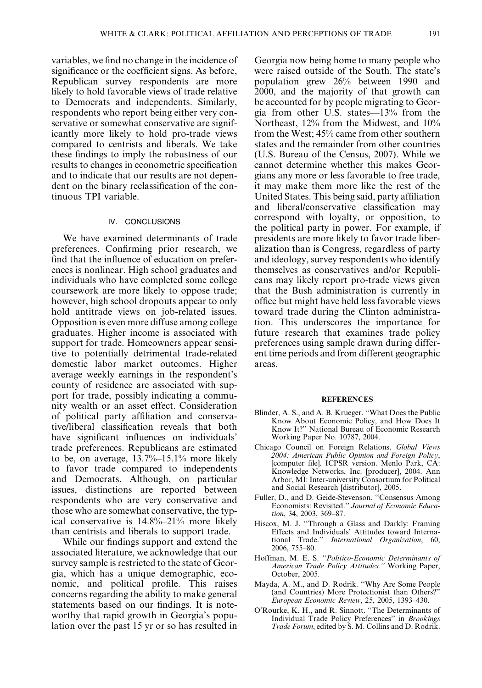variables, we find no change in the incidence of significance or the coefficient signs. As before, Republican survey respondents are more likely to hold favorable views of trade relative to Democrats and independents. Similarly, respondents who report being either very conservative or somewhat conservative are significantly more likely to hold pro-trade views compared to centrists and liberals. We take these findings to imply the robustness of our results to changes in econometric specification and to indicate that our results are not dependent on the binary reclassification of the continuous TPI variable.

# IV. CONCLUSIONS

We have examined determinants of trade preferences. Confirming prior research, we find that the influence of education on preferences is nonlinear. High school graduates and individuals who have completed some college coursework are more likely to oppose trade; however, high school dropouts appear to only hold antitrade views on job-related issues. Opposition is even more diffuse among college graduates. Higher income is associated with support for trade. Homeowners appear sensitive to potentially detrimental trade-related domestic labor market outcomes. Higher average weekly earnings in the respondent's county of residence are associated with support for trade, possibly indicating a community wealth or an asset effect. Consideration of political party affiliation and conservative/liberal classification reveals that both have significant influences on individuals' trade preferences. Republicans are estimated to be, on average, 13.7%–15.1% more likely to favor trade compared to independents and Democrats. Although, on particular issues, distinctions are reported between respondents who are very conservative and those who are somewhat conservative, the typical conservative is 14.8%–21% more likely than centrists and liberals to support trade.

While our findings support and extend the associated literature, we acknowledge that our survey sample is restricted to the state of Georgia, which has a unique demographic, economic, and political profile. This raises concerns regarding the ability to make general statements based on our findings. It is noteworthy that rapid growth in Georgia's population over the past 15 yr or so has resulted in Georgia now being home to many people who were raised outside of the South. The state's population grew 26% between 1990 and 2000, and the majority of that growth can be accounted for by people migrating to Georgia from other U.S. states—13% from the Northeast, 12% from the Midwest, and 10% from the West; 45% came from other southern states and the remainder from other countries (U.S. Bureau of the Census, 2007). While we cannot determine whether this makes Georgians any more or less favorable to free trade, it may make them more like the rest of the United States. This being said, party affiliation and liberal/conservative classification may correspond with loyalty, or opposition, to the political party in power. For example, if presidents are more likely to favor trade liberalization than is Congress, regardless of party and ideology, survey respondents who identify themselves as conservatives and/or Republicans may likely report pro-trade views given that the Bush administration is currently in office but might have held less favorable views toward trade during the Clinton administration. This underscores the importance for future research that examines trade policy preferences using sample drawn during different time periods and from different geographic areas.

#### **REFERENCES**

- Blinder, A. S., and A. B. Krueger. ''What Does the Public Know About Economic Policy, and How Does It Know It?'' National Bureau of Economic Research Working Paper No. 10787, 2004.
- Chicago Council on Foreign Relations. Global Views 2004: American Public Opinion and Foreign Policy, [computer file]. ICPSR version. Menlo Park, CA: Knowledge Networks, Inc. [producer], 2004. Ann Arbor, MI: Inter-university Consortium for Political and Social Research [distributor], 2005.
- Fuller, D., and D. Geide-Stevenson. ''Consensus Among Economists: Revisited.'' Journal of Economic Education, 34, 2003, 369–87.
- Hiscox, M. J. ''Through a Glass and Darkly: Framing Effects and Individuals' Attitudes toward Interna-<br>tional Trade." International Organization, 60, International Organization, 60, 2006, 755–80.
- Hoffman, M. E. S. ''Politico-Economic Determinants of American Trade Policy Attitudes.'' Working Paper, October, 2005.
- Mayda, A. M., and D. Rodrik. ''Why Are Some People (and Countries) More Protectionist than Others?'' European Economic Review, 25, 2005, 1393–430.
- O'Rourke, K. H., and R. Sinnott. ''The Determinants of Individual Trade Policy Preferences'' in Brookings Trade Forum, edited by S. M. Collins and D. Rodrik.